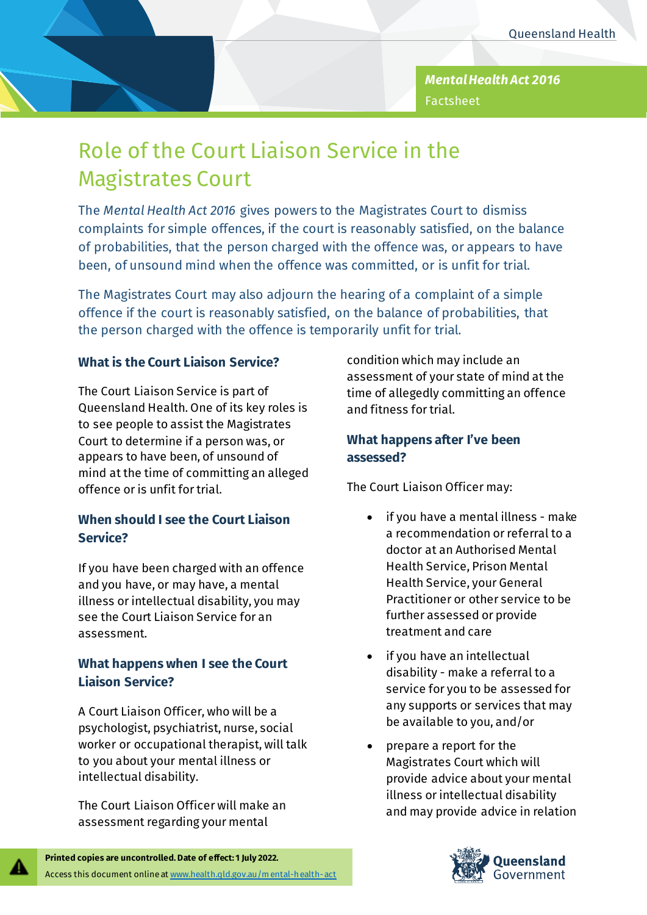

# Role of the Court Liaison Service in the Magistrates Court

The *Mental Health Act 2016* gives powers to the Magistrates Court to dismiss complaints for simple offences, if the court is reasonably satisfied, on the balance of probabilities, that the person charged with the offence was, or appears to have been, of unsound mind when the offence was committed, or is unfit for trial.

The Magistrates Court may also adjourn the hearing of a complaint of a simple offence if the court is reasonably satisfied, on the balance of probabilities, that the person charged with the offence is temporarily unfit for trial.

### **What is the Court Liaison Service?**

The Court Liaison Service is part of Queensland Health. One of its key roles is to see people to assist the Magistrates Court to determine if a person was, or appears to have been, of unsound of mind at the time of committing an alleged offence oris unfit for trial.

# **When should I see the Court Liaison Service?**

If you have been charged with an offence and you have, or may have, a mental illness or intellectual disability, you may see the Court Liaison Service for an assessment.

# **What happens when I see the Court Liaison Service?**

A Court Liaison Officer, who will be a psychologist, psychiatrist, nurse, social worker or occupational therapist, will talk to you about your mental illness or intellectual disability.

The Court Liaison Officer will make an assessment regarding your mental

condition which may include an assessment of your state of mind at the time of allegedly committing an offence and fitness for trial.

### **What happens after I've been assessed?**

The Court Liaison Officer may:

- if you have a mental illness make a recommendation or referral to a doctor at an Authorised Mental Health Service, Prison Mental Health Service, your General Practitioner or other service to be further assessed or provide treatment and care
- if you have an intellectual disability - make a referral to a service for you to be assessed for any supports or services that may be available to you, and/or
- prepare a report for the Magistrates Court which will provide advice about your mental illness or intellectual disability and may provide advice in relation